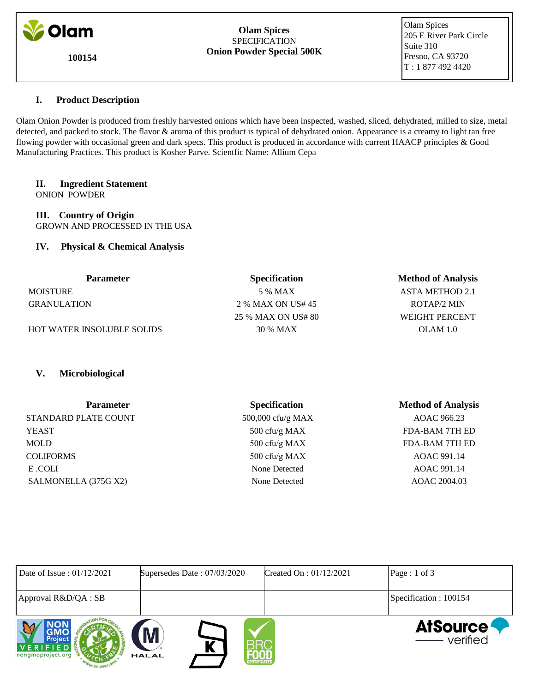

**100154**

#### **Olam Spices** SPECIFICATION **Onion Powder Special 500K**

 Olam Spices 205 E River Park Circle Suite 310 Fresno, CA 93720 T : 1 877 492 4420

# **I. Product Description**

Olam Onion Powder is produced from freshly harvested onions which have been inspected, washed, sliced, dehydrated, milled to size, metal detected, and packed to stock. The flavor & aroma of this product is typical of dehydrated onion. Appearance is a creamy to light tan free flowing powder with occasional green and dark specs. This product is produced in accordance with current HAACP principles & Good Manufacturing Practices. This product is Kosher Parve. Scientfic Name: Allium Cepa

# **II. Ingredient Statement**

ONION POWDER

**III. Country of Origin** GROWN AND PROCESSED IN THE USA

# **IV. Physical & Chemical Analysis**

| <b>Parameter</b>                  | <b>Specification</b> | <b>Method of Analysis</b> |
|-----------------------------------|----------------------|---------------------------|
| <b>MOISTURE</b>                   | 5 % MAX              | <b>ASTA METHOD 2.1</b>    |
| <b>GRANULATION</b>                | 2 % MAX ON US# 45    | ROTAP/2 MIN               |
|                                   | 25 % MAX ON US# 80   | <b>WEIGHT PERCENT</b>     |
| <b>HOT WATER INSOLUBLE SOLIDS</b> | 30 % MAX             | OLAM 1.0                  |

# **V. Microbiological**

| <b>Parameter</b>     | <b>Specification</b> | <b>Method of Analysis</b> |
|----------------------|----------------------|---------------------------|
| STANDARD PLATE COUNT | 500,000 cfu/g MAX    | AOAC 966.23               |
| <b>YEAST</b>         | 500 cfu/g MAX        | <b>FDA-BAM 7TH ED</b>     |
| MOLD                 | 500 cfu/g MAX        | <b>FDA-BAM 7TH ED</b>     |
| <b>COLIFORMS</b>     | 500 cfu/g MAX        | AOAC 991.14               |
| E .COLI              | None Detected        | AOAC 991.14               |
| SALMONELLA (375G X2) | None Detected        | AOAC 2004.03              |

| Date of Issue: $01/12/2021$              | Supersedes Date: 07/03/2020                   | Created On : $01/12/2021$ | Page : 1 of 3                 |
|------------------------------------------|-----------------------------------------------|---------------------------|-------------------------------|
| Approval R&D/QA : SB                     |                                               |                           | Specification : 100154        |
| Project<br>VERIFIED<br>nongmoproject.org | M<br>K<br><b>HALAL</b><br><b>CERTIFICATED</b> |                           | <b>AtSource</b><br>— verified |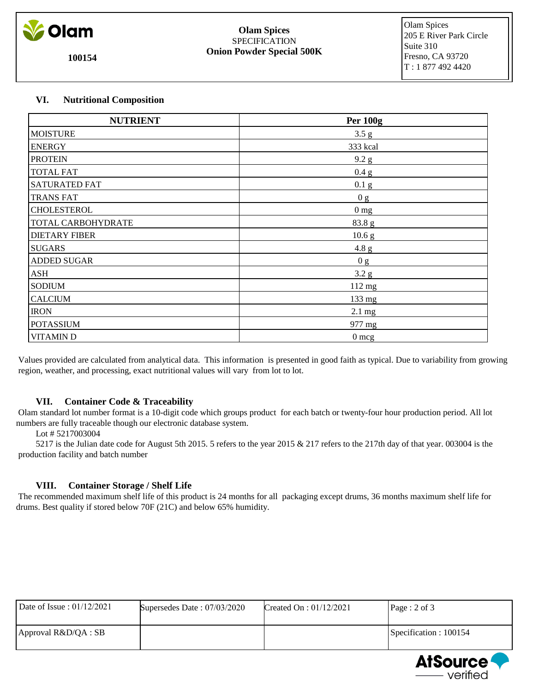

**100154**

#### **Olam Spices** SPECIFICATION **Onion Powder Special 500K**

 Olam Spices 205 E River Park Circle Suite 310 Fresno, CA 93720 T : 1 877 492 4420

# **VI. Nutritional Composition**

| <b>NUTRIENT</b>      | <b>Per 100g</b>   |
|----------------------|-------------------|
| <b>MOISTURE</b>      | 3.5 g             |
| <b>ENERGY</b>        | 333 kcal          |
| <b>PROTEIN</b>       | 9.2 g             |
| <b>TOTAL FAT</b>     | 0.4 g             |
| <b>SATURATED FAT</b> | 0.1 <sub>g</sub>  |
| <b>TRANS FAT</b>     | 0 g               |
| <b>CHOLESTEROL</b>   | $0 \frac{mg}{m}$  |
| TOTAL CARBOHYDRATE   | 83.8 g            |
| <b>DIETARY FIBER</b> | 10.6 <sub>g</sub> |
| <b>SUGARS</b>        | 4.8 g             |
| ADDED SUGAR          | 0 g               |
| <b>ASH</b>           | 3.2 g             |
| <b>SODIUM</b>        | 112 mg            |
| <b>CALCIUM</b>       | 133 mg            |
| <b>IRON</b>          | $2.1 \text{ mg}$  |
| <b>POTASSIUM</b>     | 977 mg            |
| <b>VITAMIND</b>      | $0 \text{ mcg}$   |

 Values provided are calculated from analytical data. This information is presented in good faith as typical. Due to variability from growing region, weather, and processing, exact nutritional values will vary from lot to lot.

# **VII. Container Code & Traceability**

 Olam standard lot number format is a 10-digit code which groups product for each batch or twenty-four hour production period. All lot numbers are fully traceable though our electronic database system.

Lot # 5217003004

 5217 is the Julian date code for August 5th 2015. 5 refers to the year 2015 & 217 refers to the 217th day of that year. 003004 is the production facility and batch number

# **VIII. Container Storage / Shelf Life**

 The recommended maximum shelf life of this product is 24 months for all packaging except drums, 36 months maximum shelf life for drums. Best quality if stored below 70F (21C) and below 65% humidity.

| Date of Issue: $01/12/2021$ | Supersedes Date: $07/03/2020$ | Created On : $01/12/2021$ | Page: 2 of 3           |
|-----------------------------|-------------------------------|---------------------------|------------------------|
| $ $ Approval R&D/QA : SB    |                               |                           | Specification : 100154 |